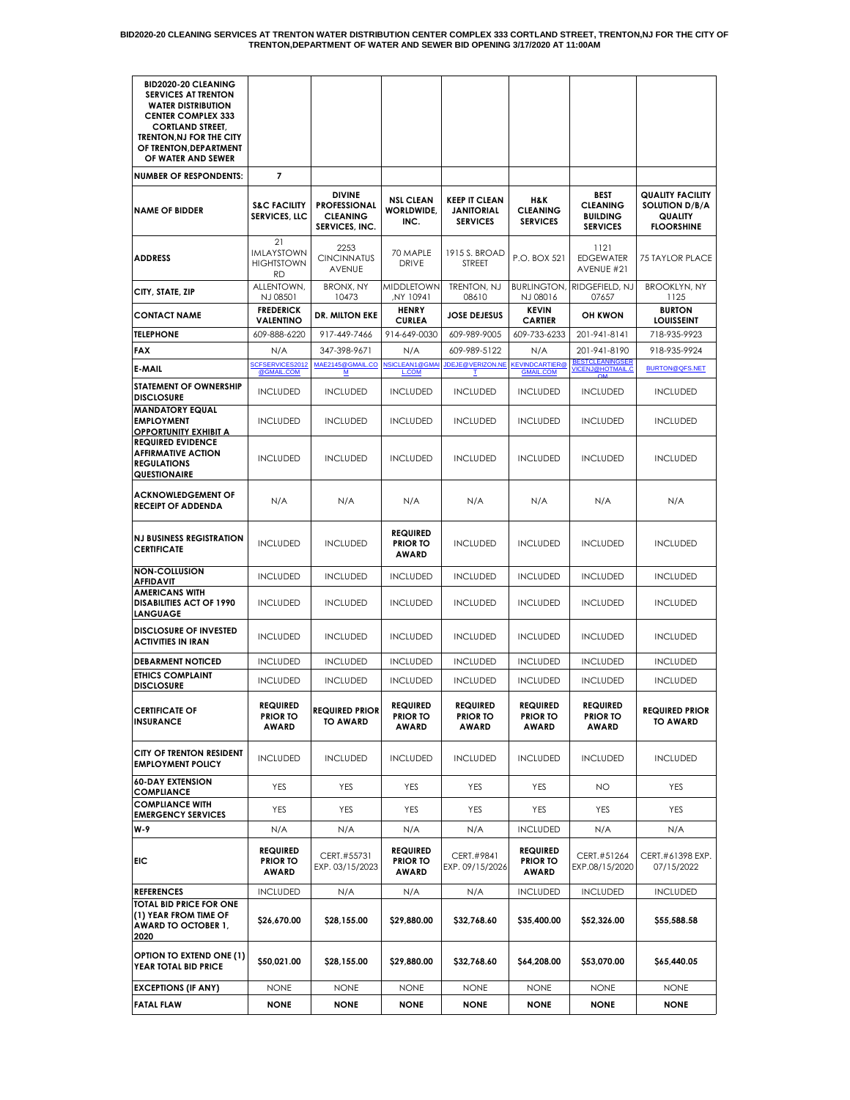| <b>BID2020-20 CLEANING</b><br><b>SERVICES AT TRENTON</b><br><b>WATER DISTRIBUTION</b><br><b>CENTER COMPLEX 333</b><br><b>CORTLAND STREET,</b><br>TRENTON, NJ FOR THE CITY<br>OF TRENTON, DEPARTMENT<br>OF WATER AND SEWER |                                                    |                                                                           |                                                    |                                                              |                                                    |                                                                      |                                                                                  |
|---------------------------------------------------------------------------------------------------------------------------------------------------------------------------------------------------------------------------|----------------------------------------------------|---------------------------------------------------------------------------|----------------------------------------------------|--------------------------------------------------------------|----------------------------------------------------|----------------------------------------------------------------------|----------------------------------------------------------------------------------|
| <b>NUMBER OF RESPONDENTS:</b>                                                                                                                                                                                             | 7                                                  |                                                                           |                                                    |                                                              |                                                    |                                                                      |                                                                                  |
| <b>NAME OF BIDDER</b>                                                                                                                                                                                                     | <b>S&amp;C FACILITY</b><br><b>SERVICES, LLC</b>    | <b>DIVINE</b><br><b>PROFESSIONAL</b><br><b>CLEANING</b><br>SERVICES, INC. | <b>NSL CLEAN</b><br><b>WORLDWIDE.</b><br>INC.      | <b>KEEP IT CLEAN</b><br><b>JANITORIAL</b><br><b>SERVICES</b> | H&K<br><b>CLEANING</b><br><b>SERVICES</b>          | <b>BEST</b><br><b>CLEANING</b><br><b>BUILDING</b><br><b>SERVICES</b> | <b>QUALITY FACILITY</b><br><b>SOLUTION D/B/A</b><br>QUALITY<br><b>FLOORSHINE</b> |
| <b>ADDRESS</b>                                                                                                                                                                                                            | 21<br>IMLAYSTOWN<br><b>HIGHTSTOWN</b><br><b>RD</b> | 2253<br><b>CINCINNATUS</b><br>AVENUE                                      | 70 MAPLE<br><b>DRIVE</b>                           | 1915 S. BROAD<br>STREET                                      | P.O. BOX 521                                       | 1121<br><b>EDGEWATER</b><br>AVENUE #21                               | <b>75 TAYLOR PLACE</b>                                                           |
| CITY, STATE, ZIP                                                                                                                                                                                                          | ALLENTOWN,<br>NJ 08501                             | <b>BRONX, NY</b><br>10473                                                 | MIDDLETOWN<br>NY 10941,                            | TRENTON, NJ<br>08610                                         | <b>BURLINGTON,</b><br>NJ 08016                     | RIDGEFIELD, NJ<br>07657                                              | <b>BROOKLYN, NY</b><br>1125                                                      |
| <b>CONTACT NAME</b>                                                                                                                                                                                                       | <b>FREDERICK</b><br>VALENTINO                      | DR. MILTON EKE                                                            | <b>HENRY</b><br><b>CURLEA</b>                      | <b>JOSE DEJESUS</b>                                          | <b>KEVIN</b><br><b>CARTIER</b>                     | <b>OH KWON</b>                                                       | <b>BURTON</b><br><b>LOUISSEINT</b>                                               |
| <b>TELEPHONE</b>                                                                                                                                                                                                          | 609-888-6220                                       | 917-449-7466                                                              | 914-649-0030                                       | 609-989-9005                                                 | 609-733-6233                                       | 201-941-8141                                                         | 718-935-9923                                                                     |
| <b>FAX</b>                                                                                                                                                                                                                | N/A                                                | 347-398-9671                                                              | N/A                                                | 609-989-5122                                                 | N/A                                                | 201-941-8190                                                         | 918-935-9924                                                                     |
| <b>E-MAIL</b>                                                                                                                                                                                                             | SCFSERVICES2012<br>@GMAIL.COM                      | MAE2145@GMAIL.CO<br><u>м</u>                                              | NSICLEAN1@GMAI<br><b>L.COM</b>                     | JDEJE@VERIZON.NE<br>т.                                       | <b>KEVINDCARTIER</b><br><b>GMAIL.COM</b>           | <b>BESTCLEANINGSER</b><br><b>VICENJ@HOTMAIL.C</b>                    | BURTON@QFS.NET                                                                   |
| STATEMENT OF OWNERSHIP<br><b>DISCLOSURE</b>                                                                                                                                                                               | <b>INCLUDED</b>                                    | <b>INCLUDED</b>                                                           | <b>INCLUDED</b>                                    | <b>INCLUDED</b>                                              | <b>INCLUDED</b>                                    | <b>INCLUDED</b>                                                      | <b>INCLUDED</b>                                                                  |
| <b>MANDATORY EQUAL</b><br><b>EMPLOYMENT</b><br><b>OPPORTUNITY EXHIBIT A</b>                                                                                                                                               | <b>INCLUDED</b>                                    | <b>INCLUDED</b>                                                           | <b>INCLUDED</b>                                    | <b>INCLUDED</b>                                              | <b>INCLUDED</b>                                    | <b>INCLUDED</b>                                                      | <b>INCLUDED</b>                                                                  |
| <b>REQUIRED EVIDENCE</b><br><b>AFFIRMATIVE ACTION</b><br><b>REGULATIONS</b><br><b>QUESTIONAIRE</b>                                                                                                                        | <b>INCLUDED</b>                                    | <b>INCLUDED</b>                                                           | <b>INCLUDED</b>                                    | <b>INCLUDED</b>                                              | <b>INCLUDED</b>                                    | <b>INCLUDED</b>                                                      | <b>INCLUDED</b>                                                                  |
| <b>ACKNOWLEDGEMENT OF</b><br><b>RECEIPT OF ADDENDA</b>                                                                                                                                                                    | N/A                                                | N/A                                                                       | N/A                                                | N/A                                                          | N/A                                                | N/A                                                                  | N/A                                                                              |
| <b>NJ BUSINESS REGISTRATION</b><br><b>CERTIFICATE</b>                                                                                                                                                                     | <b>INCLUDED</b>                                    | <b>INCLUDED</b>                                                           | <b>REQUIRED</b><br><b>PRIOR TO</b><br><b>AWARD</b> | <b>INCLUDED</b>                                              | <b>INCLUDED</b>                                    | <b>INCLUDED</b>                                                      | <b>INCLUDED</b>                                                                  |
| <b>NON-COLLUSION</b><br><b>AFFIDAVIT</b>                                                                                                                                                                                  | <b>INCLUDED</b>                                    | <b>INCLUDED</b>                                                           | <b>INCLUDED</b>                                    | <b>INCLUDED</b>                                              | <b>INCLUDED</b>                                    | <b>INCLUDED</b>                                                      | <b>INCLUDED</b>                                                                  |
| <b>AMERICANS WITH</b><br><b>DISABILITIES ACT OF 1990</b><br><b>LANGUAGE</b>                                                                                                                                               | <b>INCLUDED</b>                                    | <b>INCLUDED</b>                                                           | <b>INCLUDED</b>                                    | <b>INCLUDED</b>                                              | <b>INCLUDED</b>                                    | <b>INCLUDED</b>                                                      | <b>INCLUDED</b>                                                                  |
| <b>DISCLOSURE OF INVESTED</b><br><b>ACTIVITIES IN IRAN</b>                                                                                                                                                                | <b>INCLUDED</b>                                    | <b>INCLUDED</b>                                                           | <b>INCLUDED</b>                                    | <b>INCLUDED</b>                                              | <b>INCLUDED</b>                                    | <b>INCLUDED</b>                                                      | <b>INCLUDED</b>                                                                  |
| <b>DEBARMENT NOTICED</b>                                                                                                                                                                                                  | <b>INCLUDED</b>                                    | <b>INCLUDED</b>                                                           | <b>INCLUDED</b>                                    | <b>INCLUDED</b>                                              | <b>INCLUDED</b>                                    | <b>INCLUDED</b>                                                      | <b>INCLUDED</b>                                                                  |
| <b>ETHICS COMPLAINT</b><br><b>DISCLOSURE</b>                                                                                                                                                                              | <b>INCLUDED</b>                                    | <b>INCLUDED</b>                                                           | <b>INCLUDED</b>                                    | <b>INCLUDED</b>                                              | <b>INCLUDED</b>                                    | <b>INCLUDED</b>                                                      | <b>INCLUDED</b>                                                                  |
| <b>CERTIFICATE OF</b><br><b>INSURANCE</b>                                                                                                                                                                                 | <b>REQUIRED</b><br><b>PRIOR TO</b><br>AWARD        | <b>REQUIRED PRIOR</b><br><b>TO AWARD</b>                                  | <b>REQUIRED</b><br><b>PRIOR TO</b><br><b>AWARD</b> | <b>REQUIRED</b><br><b>PRIOR TO</b><br>AWARD                  | <b>REQUIRED</b><br><b>PRIOR TO</b><br><b>AWARD</b> | <b>REQUIRED</b><br><b>PRIOR TO</b><br><b>AWARD</b>                   | <b>REQUIRED PRIOR</b><br>TO AWARD                                                |
| CITY OF TRENTON RESIDENT<br><b>EMPLOYMENT POLICY</b>                                                                                                                                                                      | <b>INCLUDED</b>                                    | <b>INCLUDED</b>                                                           | <b>INCLUDED</b>                                    | <b>INCLUDED</b>                                              | <b>INCLUDED</b>                                    | <b>INCLUDED</b>                                                      | <b>INCLUDED</b>                                                                  |
| <b>60-DAY EXTENSION</b><br><b>COMPLIANCE</b>                                                                                                                                                                              | YES                                                | YES                                                                       | YES                                                | YES                                                          | YES                                                | NO                                                                   | YES                                                                              |
| <b>COMPLIANCE WITH</b><br><b>EMERGENCY SERVICES</b>                                                                                                                                                                       | YES                                                | <b>YES</b>                                                                | YES                                                | YES                                                          | YES                                                | YES                                                                  | YES                                                                              |
| W-9                                                                                                                                                                                                                       | N/A                                                | N/A                                                                       | N/A                                                | N/A                                                          | <b>INCLUDED</b>                                    | N/A                                                                  | N/A                                                                              |
| EIC                                                                                                                                                                                                                       | <b>REQUIRED</b><br><b>PRIOR TO</b><br><b>AWARD</b> | CERT.#55731<br>EXP. 03/15/2023                                            | <b>REQUIRED</b><br><b>PRIOR TO</b><br><b>AWARD</b> | CERT.#9841<br>EXP. 09/15/2026                                | <b>REQUIRED</b><br><b>PRIOR TO</b><br><b>AWARD</b> | CERT.#51264<br>EXP.08/15/2020                                        | CERT.#61398 EXP.<br>07/15/2022                                                   |
| <b>REFERENCES</b>                                                                                                                                                                                                         | <b>INCLUDED</b>                                    | N/A                                                                       | N/A                                                | N/A                                                          | <b>INCLUDED</b>                                    | <b>INCLUDED</b>                                                      | <b>INCLUDED</b>                                                                  |
| TOTAL BID PRICE FOR ONE<br>(1) YEAR FROM TIME OF<br>AWARD TO OCTOBER 1,<br>2020                                                                                                                                           | \$26,670.00                                        | \$28,155.00                                                               | \$29,880.00                                        | \$32,768.60                                                  | \$35,400.00                                        | \$52,326.00                                                          | \$55,588.58                                                                      |
| <b>OPTION TO EXTEND ONE (1)</b><br>YEAR TOTAL BID PRICE                                                                                                                                                                   | \$50,021.00                                        | \$28,155.00                                                               | \$29,880.00                                        | \$32,768.60                                                  | \$64,208.00                                        | \$53,070.00                                                          | \$65,440.05                                                                      |
| <b>EXCEPTIONS (IF ANY)</b><br><b>FATAL FLAW</b>                                                                                                                                                                           | <b>NONE</b><br><b>NONE</b>                         | <b>NONE</b><br><b>NONE</b>                                                | <b>NONE</b><br><b>NONE</b>                         | <b>NONE</b><br><b>NONE</b>                                   | <b>NONE</b><br><b>NONE</b>                         | <b>NONE</b><br><b>NONE</b>                                           | <b>NONE</b><br><b>NONE</b>                                                       |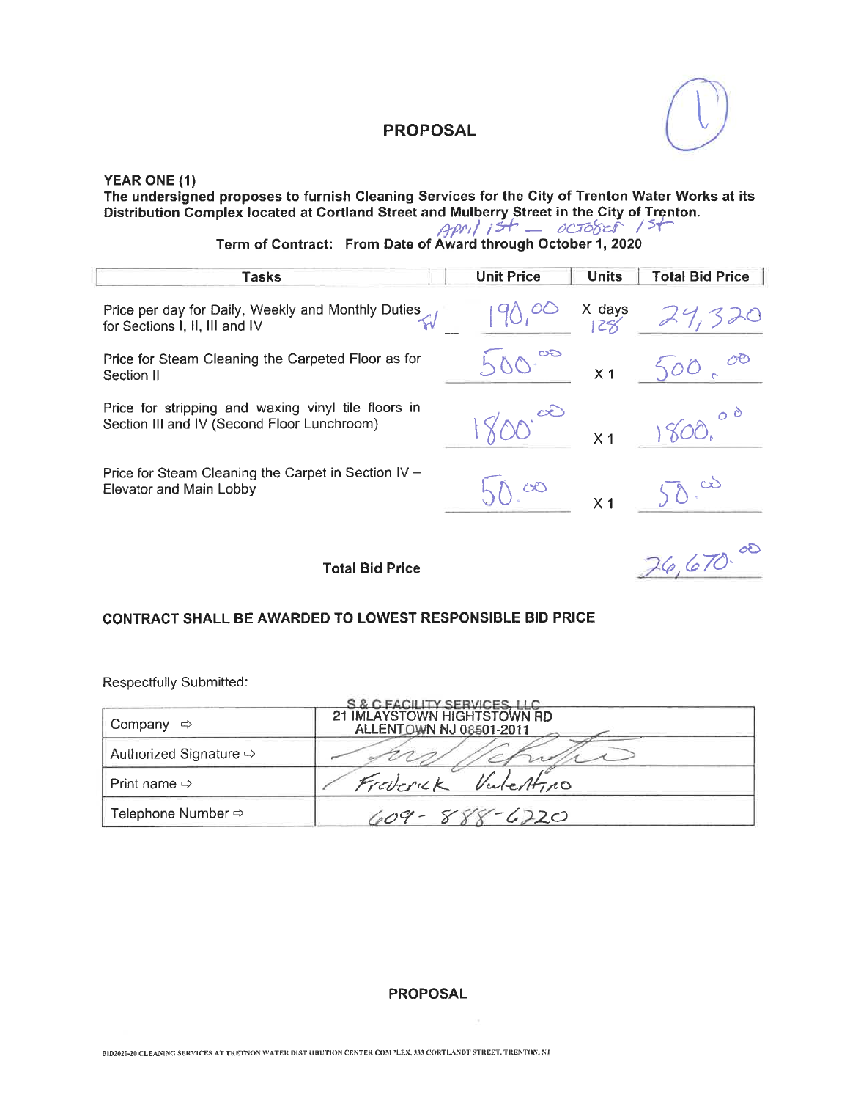

# YEAR ONE (1) The undersigned proposes to furnish Cleaning Services for the City of Trenton Water Works at its<br>Distribution Complex located at Cortland Street and Mulberry Street in the City of Trenton.<br>Term of Contract: From Date of A

| Tasks                                                                                              | <b>Unit Price</b> | <b>Units</b>                                                           | <b>Total Bid Price</b> |
|----------------------------------------------------------------------------------------------------|-------------------|------------------------------------------------------------------------|------------------------|
| Price per day for Daily, Weekly and Monthly Duties<br>for Sections I, II, III and IV               |                   | $\begin{array}{cc}\n & \times \text{ days} \\  & \times \n\end{array}$ |                        |
| Price for Steam Cleaning the Carpeted Floor as for<br>Section II                                   |                   | X <sub>1</sub>                                                         | 500                    |
| Price for stripping and waxing vinyl tile floors in<br>Section III and IV (Second Floor Lunchroom) |                   | X <sub>1</sub>                                                         |                        |
| Price for Steam Cleaning the Carpet in Section IV -<br>Elevator and Main Lobby                     | $\infty$          | X <sub>1</sub>                                                         |                        |
| <b>Total Bid Price</b>                                                                             |                   |                                                                        | 76.670                 |

#### CONTRACT SHALL BE AWARDED TO LOWEST RESPONSIBLE BID PRICE

Respectfully Submitted:

|                                    | S & C FACILITY SERVICES, LLC                           |
|------------------------------------|--------------------------------------------------------|
| Company                            | 21 IMLAYSTOWN HIGHTSTOWN RD<br>ALLENTOWN NJ 08501-2011 |
| Authorized Signature $\Rightarrow$ |                                                        |
| Print name $\Rightarrow$           | Valestino<br>Fraterick                                 |
| Telephone Number $\Leftrightarrow$ | 609 - 888 - 6220                                       |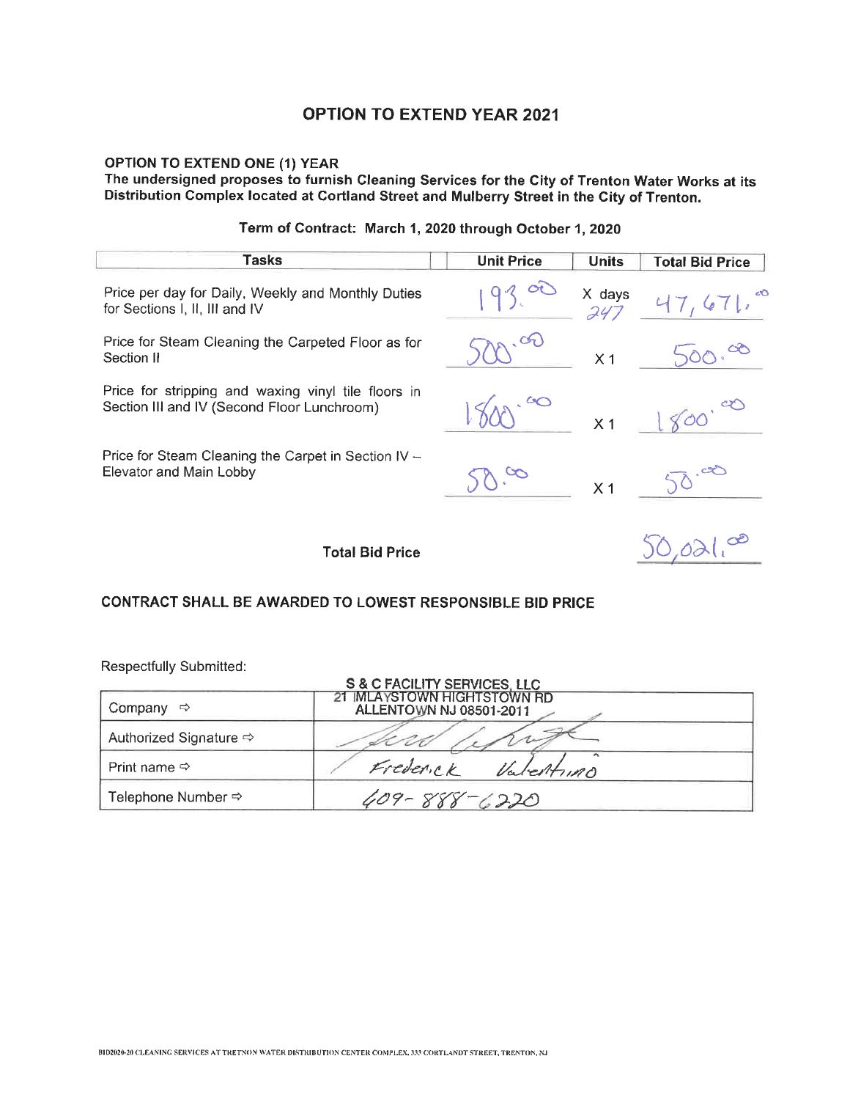#### **OPTION TO EXTEND ONE (1) YEAR**

The undersigned proposes to furnish Cleaning Services for the City of Trenton Water Works at its Distribution Complex located at Cortland Street and Mulberry Street in the City of Trenton.

#### **Tasks Unit Price Units Total Bid Price** Price per day for Daily, Weekly and Monthly Duties X days for Sections I. II. III and IV 24) Price for Steam Cleaning the Carpeted Floor as for Section II  $X<sub>1</sub>$ Price for stripping and waxing vinyl tile floors in Section III and IV (Second Floor Lunchroom)  $X<sub>1</sub>$ Price for Steam Cleaning the Carpet in Section IV -Elevator and Main Lobby  $\mathcal{S}$  $X<sub>1</sub>$ **Total Bid Price CONTRACT SHALL BE AWARDED TO LOWEST RESPONSIBLE BID PRICE**

## Term of Contract: March 1, 2020 through October 1, 2020

| S & C FACILITY SERVICES, LLC       |                                                               |  |
|------------------------------------|---------------------------------------------------------------|--|
| Company                            | 21 IMLAYSTOWN HIGHTSTOWN RD<br><b>ALLENTOWN NJ 08501-2011</b> |  |
| Authorized Signature $\Rightarrow$ |                                                               |  |
| Print name $\Leftrightarrow$       | $\overline{\phantom{a}}$<br>Frederick<br>Valentino            |  |
| Telephone Number ➾                 | 888–6220                                                      |  |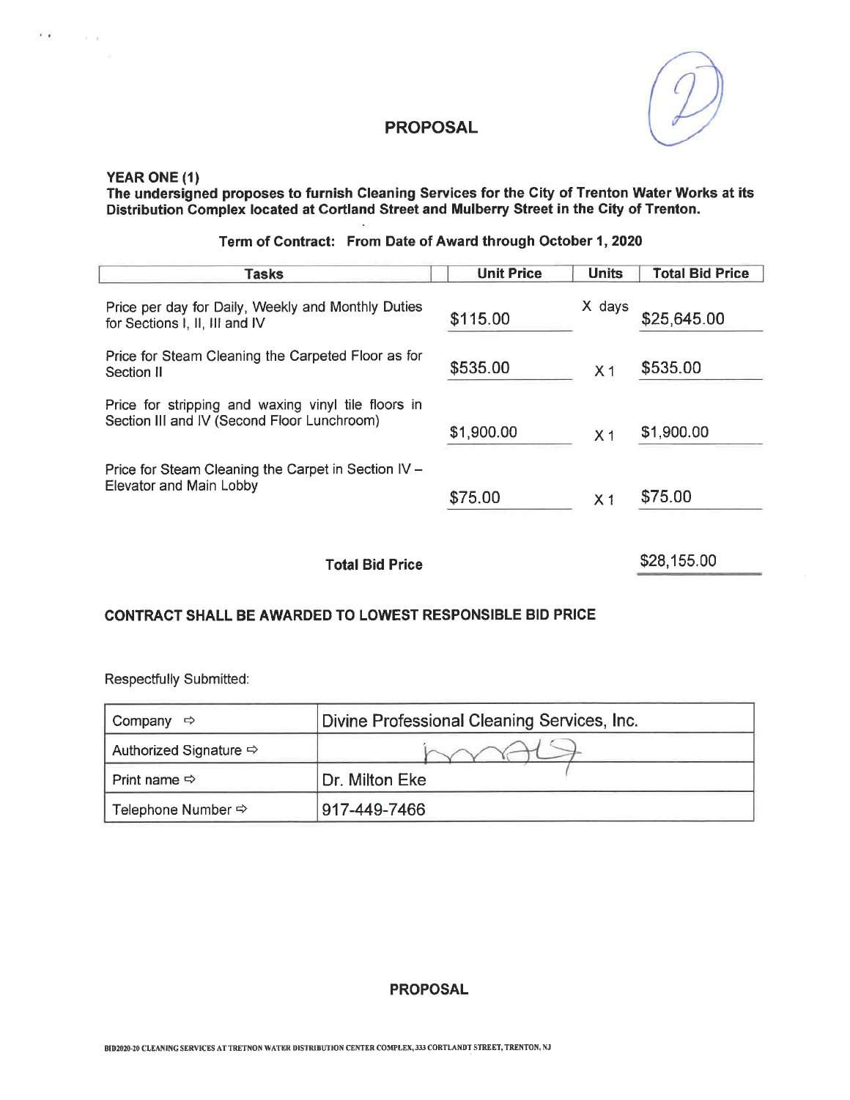

#### YEAR ONE (1)

 $\epsilon$  ,  $\epsilon$  ,  $\epsilon$  ,  $\epsilon$  ,  $\epsilon$ 

# The undersigned proposes to furnish Cleaning Services for the City of Trenton Water Works at its<br>Distribution Complex located at Cortland Street and Mulberry Street in the City of Trenton.

#### Term of Contract: From Date of Award through October 1, 2020

| <b>Tasks</b>                                                                                       | <b>Unit Price</b> | <b>Units</b>   | <b>Total Bid Price</b> |
|----------------------------------------------------------------------------------------------------|-------------------|----------------|------------------------|
| Price per day for Daily, Weekly and Monthly Duties<br>for Sections I, II, III and IV               | \$115.00          | X days         | \$25,645.00            |
| Price for Steam Cleaning the Carpeted Floor as for<br>Section II                                   | \$535.00          | X <sub>1</sub> | \$535.00               |
| Price for stripping and waxing vinyl tile floors in<br>Section III and IV (Second Floor Lunchroom) | \$1,900.00        | X <sub>1</sub> | \$1,900.00             |
| Price for Steam Cleaning the Carpet in Section IV -<br>Elevator and Main Lobby                     | \$75.00           | X <sub>1</sub> | \$75.00                |
| <b>Total Bid Price</b>                                                                             |                   |                | \$28,155.00            |

#### CONTRACT SHALL BE AWARDED TO LOWEST RESPONSIBLE BID PRICE

Respectfully Submitted:

| Company<br>⇨                       | Divine Professional Cleaning Services, Inc. |
|------------------------------------|---------------------------------------------|
| Authorized Signature $\Rightarrow$ |                                             |
|                                    | Dr. Milton Eke                              |
| Telephone Number $\Rightarrow$     | 917-449-7466                                |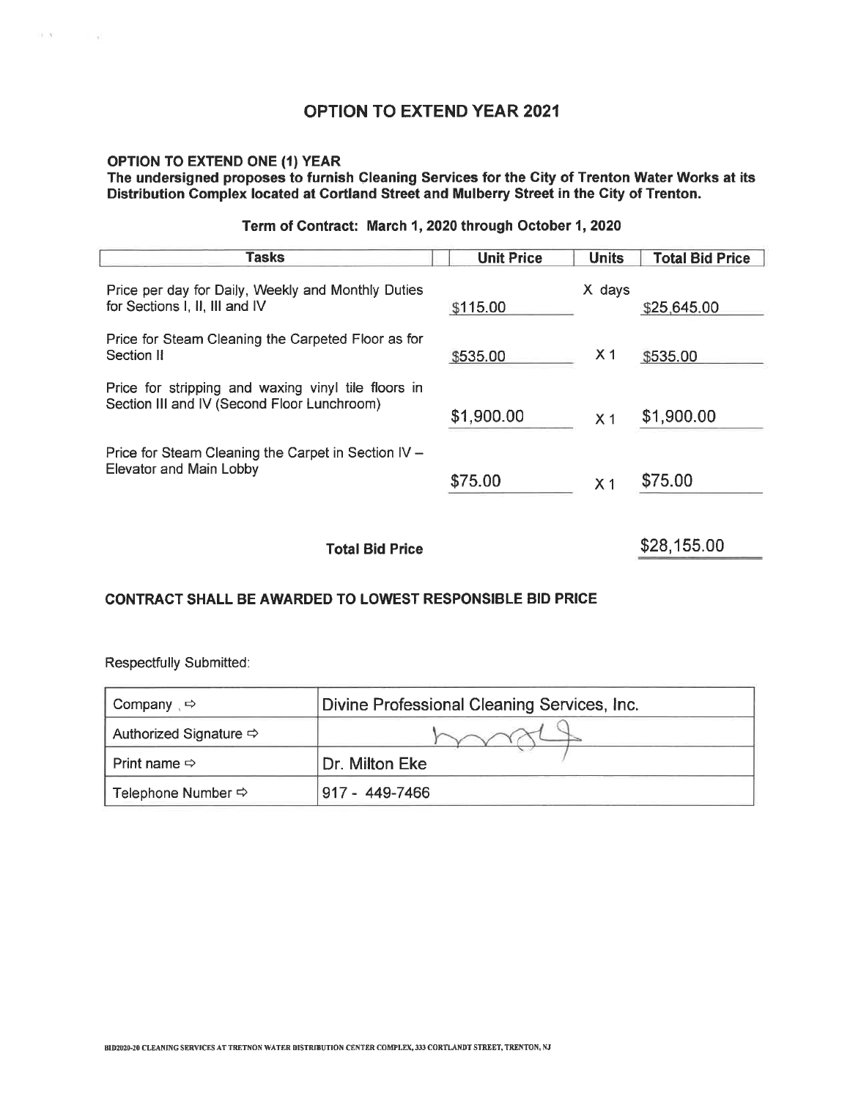# **OPTION TO EXTEND ONE (1) YEAR** The undersigned proposes to furnish Cleaning Services for the City of Trenton Water Works at its<br>Distribution Complex located at Cortland Street and Mulberry Street in the City of Trenton.

#### Term of Contract: March 1, 2020 through October 1, 2020

| <b>Tasks</b>                                                                                       | <b>Unit Price</b> | <b>Units</b>   | <b>Total Bid Price</b> |
|----------------------------------------------------------------------------------------------------|-------------------|----------------|------------------------|
| Price per day for Daily, Weekly and Monthly Duties<br>for Sections I, II, III and IV               | \$115.00          | X days         | \$25,645.00            |
| Price for Steam Cleaning the Carpeted Floor as for<br>Section II                                   | \$535.00          | X <sub>1</sub> | \$535.00               |
| Price for stripping and waxing vinyl tile floors in<br>Section III and IV (Second Floor Lunchroom) | \$1,900.00        | X <sub>1</sub> | \$1,900.00             |
| Price for Steam Cleaning the Carpet in Section IV -<br>Elevator and Main Lobby                     | \$75.00           | X <sub>1</sub> | \$75.00                |
| <b>Total Bid Price</b>                                                                             |                   |                | \$28,155.00            |

#### CONTRACT SHALL BE AWARDED TO LOWEST RESPONSIBLE BID PRICE

| Company $\Rightarrow$              | Divine Professional Cleaning Services, Inc. |
|------------------------------------|---------------------------------------------|
| Authorized Signature $\Rightarrow$ |                                             |
| Print name $\Rightarrow$           | Dr. Milton Eke                              |
| Telephone Number $\Leftrightarrow$ | $917 - 449 - 7466$                          |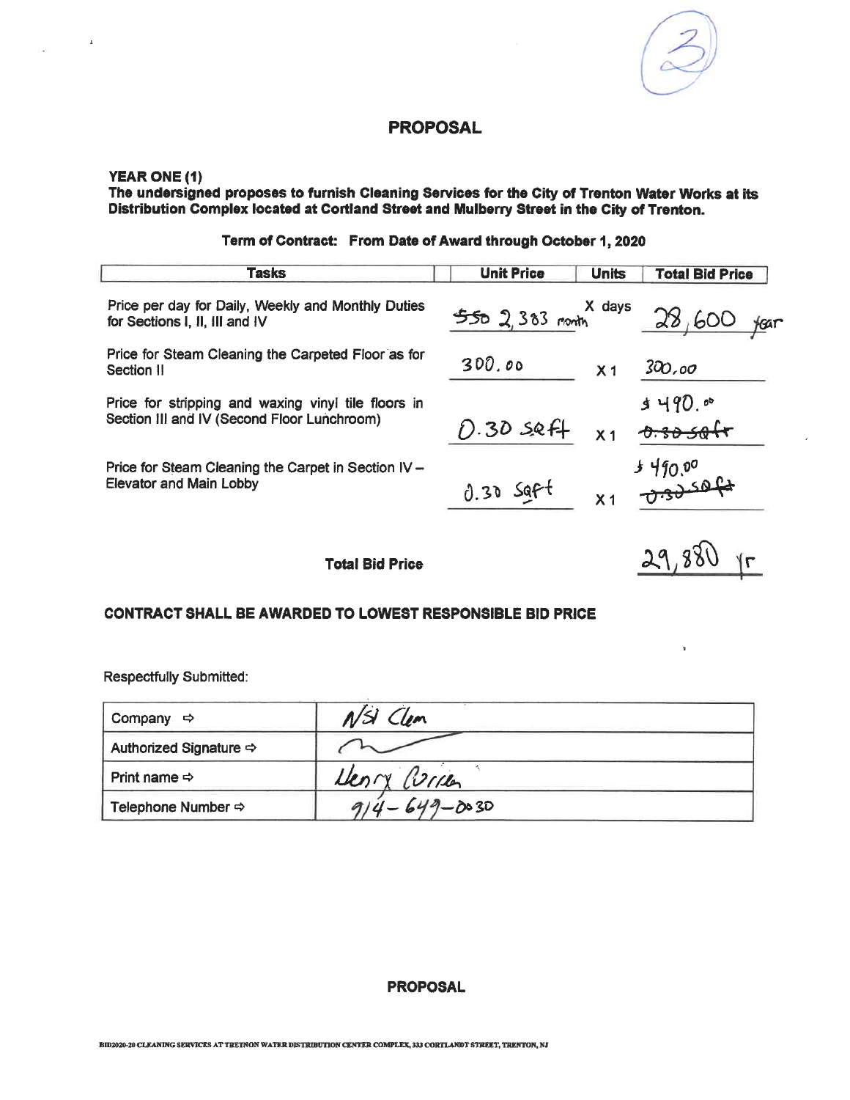#### **YEAR ONE (1)**

 $\mathbf{A}$ 

The undersigned proposes to furnish Cleaning Services for the City of Trenton Water Works at its<br>Distribution Complex located at Cortland Street and Mulberry Street in the City of Trenton.

Term of Contract: From Date of Award through October 1, 2020

| <b>Tasks</b>                                                                                       | <b>Unit Price</b> | <b>Units</b>   | <b>Total Bid Price</b>               |
|----------------------------------------------------------------------------------------------------|-------------------|----------------|--------------------------------------|
| Price per day for Daily, Weekly and Monthly Duties<br>for Sections I, II, III and IV               | $5502383$ month   | X days         | 28,600<br>$\frac{1}{2}$ can          |
| Price for Steam Cleaning the Carpeted Floor as for<br>Section II                                   | 300.00            | X <sub>1</sub> | 300,00                               |
| Price for stripping and waxing vinyl tile floors in<br>Section III and IV (Second Floor Lunchroom) | $D.30$ seff       |                | $3490.$ $^{\circ}$<br>$x_1$ 0.3050ft |
| Price for Steam Cleaning the Carpet in Section IV -<br><b>Elevator and Main Lobby</b>              | $0.30$ Saft       | X <sub>1</sub> | 4 م م <del>1</del> 90 د<br>جا هڪرجي  |
| <b>Total Bid Price</b>                                                                             |                   |                | 29 <sub>u</sub>                      |

#### **CONTRACT SHALL BE AWARDED TO LOWEST RESPONSIBLE BID PRICE**

**Respectfully Submitted:** 

| Company<br>–⇔                      | NSI Clem           |  |
|------------------------------------|--------------------|--|
| Authorized Signature $\Rightarrow$ |                    |  |
| Print name $\Rightarrow$           | Henry Curren       |  |
| Telephone Number $\Leftrightarrow$ | $914 - 649 - 0030$ |  |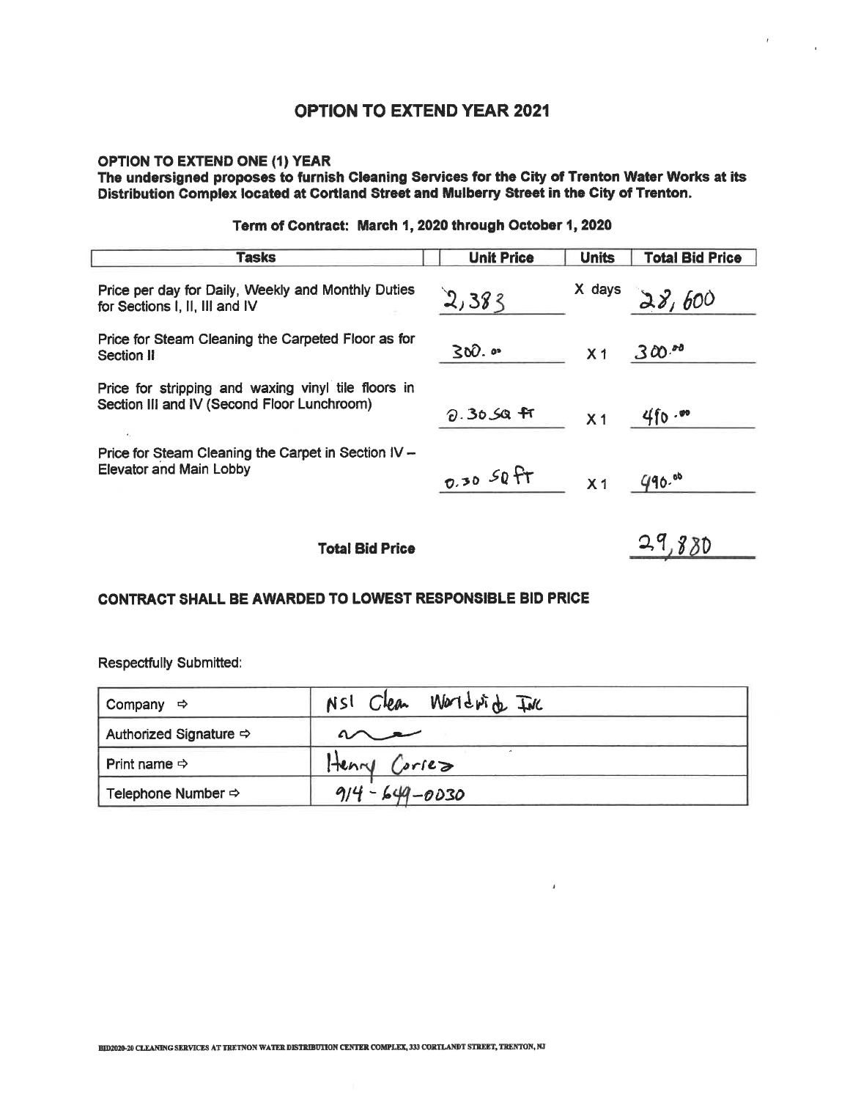OPTION TO EXTEND ONE (1) YEAR<br>The undersigned proposes to furnish Cleaning Services for the City of Trenton Water Works at its<br>Distribution Complex located at Cortland Street and Mulberry Street in the City of Trenton.

| <b>Tasks</b>                                                                                       | <b>Unit Price</b> | <b>Units</b>   | <b>Total Bid Price</b> |
|----------------------------------------------------------------------------------------------------|-------------------|----------------|------------------------|
| Price per day for Daily, Weekly and Monthly Duties<br>for Sections I, II, III and IV               | 2,383             | X days         | 28,600                 |
| Price for Steam Cleaning the Carpeted Floor as for<br>Section II                                   | $300.$ $\circ$    | X <sub>1</sub> | $300$ $^{50}$          |
| Price for stripping and waxing vinyl tile floors in<br>Section III and IV (Second Floor Lunchroom) | $0.3059$ fr       | X <sub>1</sub> | 4f0.00                 |
| Price for Steam Cleaning the Carpet in Section IV -<br><b>Elevator and Main Lobby</b>              | $0.3050$ FT       | X <sub>1</sub> | 490.88                 |
| <b>Total Bid Price</b>                                                                             |                   |                | 29,880                 |

#### Term of Contract: March 1, 2020 through October 1, 2020

#### **CONTRACT SHALL BE AWARDED TO LOWEST RESPONSIBLE BID PRICE**

| Company<br>⇨                           | NSI Clear Worldwick INC |
|----------------------------------------|-------------------------|
| Authorized Signature $\Leftrightarrow$ |                         |
| Print name $\Rightarrow$               | Henry Corses            |
| Telephone Number $\Leftrightarrow$     | $914 - 649 - 0030$      |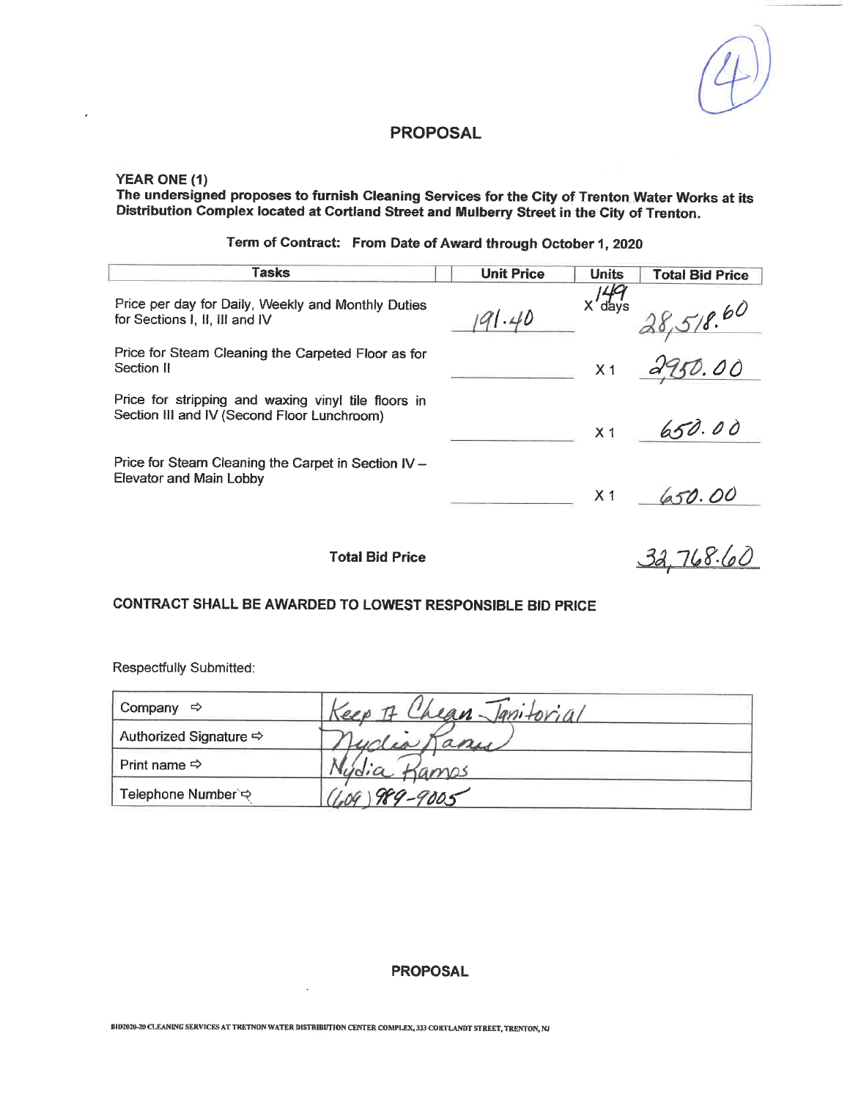#### **YEAR ONE (1)**

ï

The undersigned proposes to furnish Cleaning Services for the City of Trenton Water Works at its<br>Distribution Complex located at Cortland Street and Mulberry Street in the City of Trenton.

Term of Contract: From Date of Award through October 1, 2020

| Tasks                                                                                              | <b>Unit Price</b> | <b>Units</b>   | <b>Total Bid Price</b> |
|----------------------------------------------------------------------------------------------------|-------------------|----------------|------------------------|
| Price per day for Daily, Weekly and Monthly Duties<br>for Sections I, II, III and IV               | 191.40            | 49<br>X'days   | 518.60                 |
| Price for Steam Cleaning the Carpeted Floor as for<br>Section II                                   |                   | X <sub>1</sub> | 2950.00                |
| Price for stripping and waxing vinyl tile floors in<br>Section III and IV (Second Floor Lunchroom) |                   | X <sub>1</sub> | 650.00                 |
| Price for Steam Cleaning the Carpet in Section IV -<br>Elevator and Main Lobby                     |                   | X <sub>1</sub> | 650.00                 |
| Total Bid Price                                                                                    |                   |                |                        |

#### CONTRACT SHALL BE AWARDED TO LOWEST RESPONSIBLE BID PRICE

Respectfully Submitted:

| Company<br>⇨                  | Keep It Chean Jantorial |  |
|-------------------------------|-------------------------|--|
| Authorized Signature <b>☆</b> | iclea Manus             |  |
| Print name $\Rightarrow$      | amos                    |  |
| Telephone Number`ಈ            | 989-9005                |  |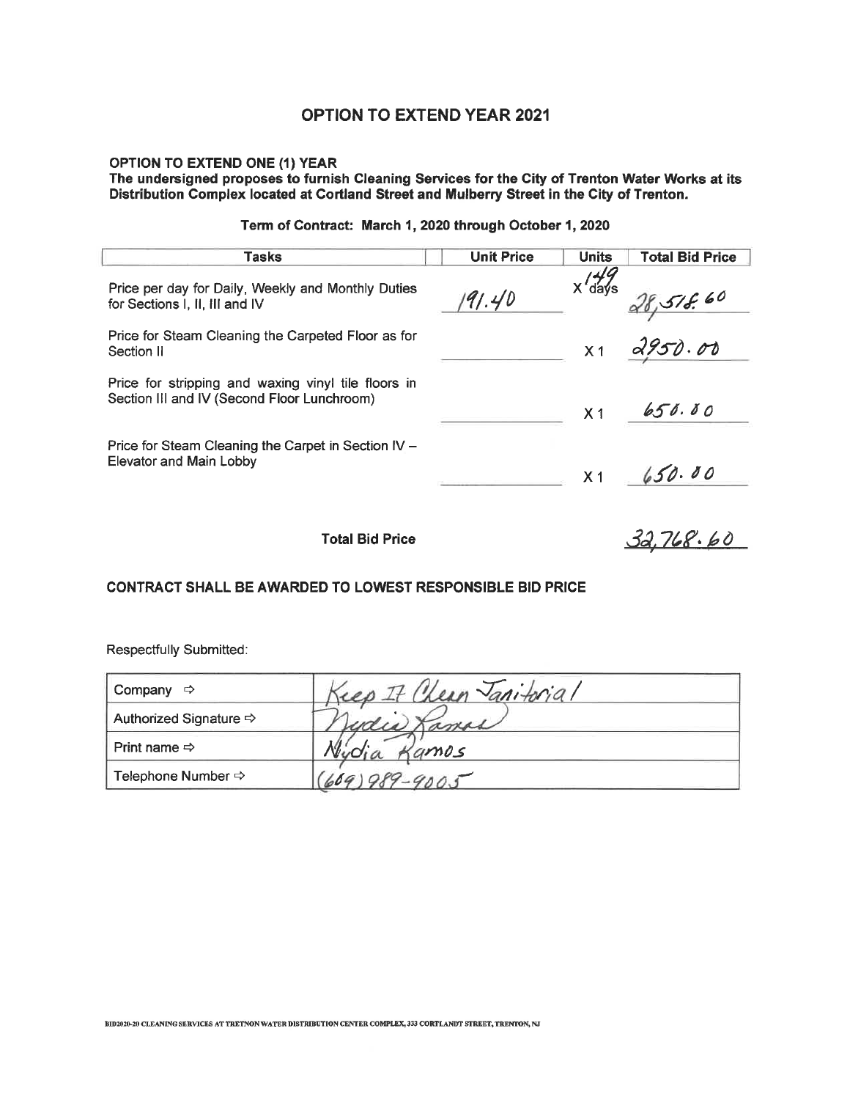## **OPTION TO EXTEND ONE (1) YEAR** The undersigned proposes to furnish Cleaning Services for the City of Trenton Water Works at its<br>Distribution Complex located at Cortland Street and Mulberry Street in the City of Trenton.

| Tasks                                                                                              | <b>Unit Price</b> | <b>Units</b>   | <b>Total Bid Price</b> |
|----------------------------------------------------------------------------------------------------|-------------------|----------------|------------------------|
| Price per day for Daily, Weekly and Monthly Duties<br>for Sections I, II, III and IV               | 191.40            | $X'$ days      | 518.60                 |
| Price for Steam Cleaning the Carpeted Floor as for<br>Section II                                   |                   | X <sub>1</sub> | 2950.00                |
| Price for stripping and waxing vinyl tile floors in<br>Section III and IV (Second Floor Lunchroom) |                   | X <sub>1</sub> | 650.00                 |
| Price for Steam Cleaning the Carpet in Section IV -<br><b>Elevator and Main Lobby</b>              |                   |                | x1 650.00              |
| <b>Total Bid Price</b>                                                                             |                   |                | 52.768.60              |

#### Term of Contract: March 1, 2020 through October 1, 2020

#### CONTRACT SHALL BE AWARDED TO LOWEST RESPONSIBLE BID PRICE

| Company<br>⇨             | ean Tanitorial              |
|--------------------------|-----------------------------|
| Authorized Signature ⇒   | udis                        |
| Print name $\Rightarrow$ | amos                        |
| Telephone Number ⇒       | $-9005$<br>100 <sup>4</sup> |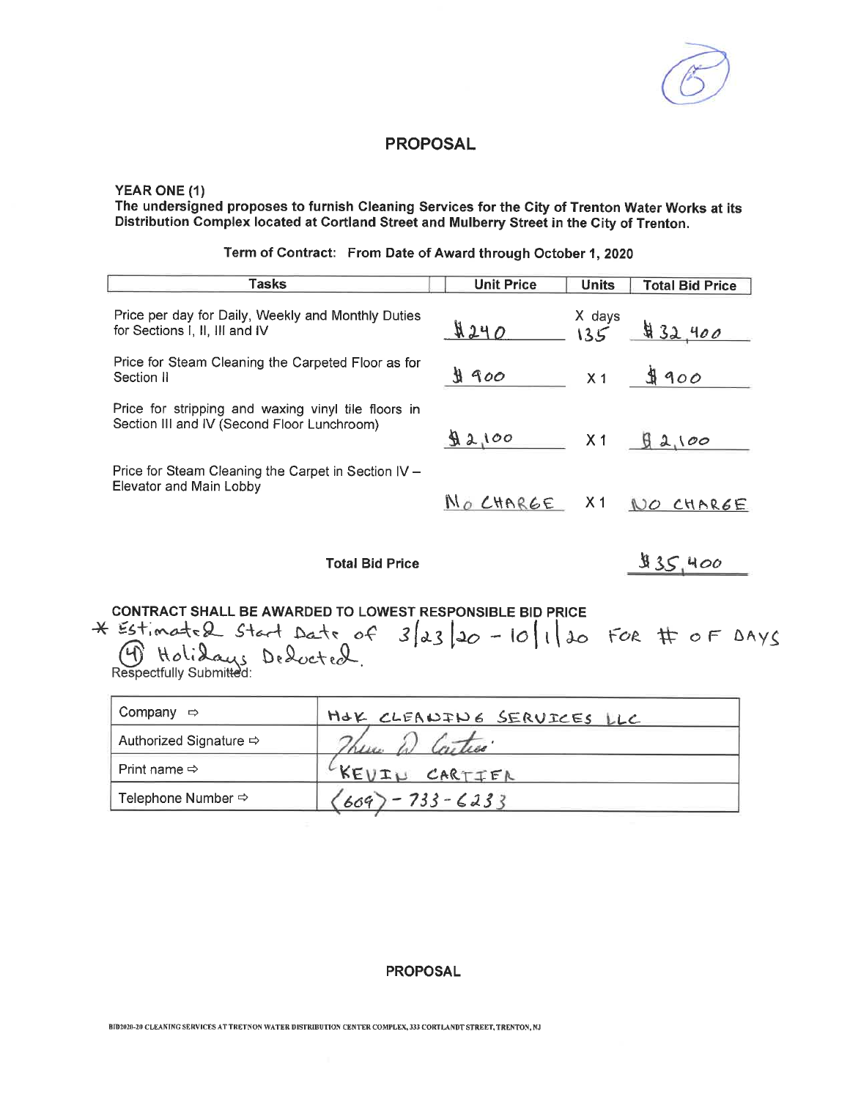#### YEAR ONE (1)

The undersigned proposes to furnish Cleaning Services for the City of Trenton Water Works at its Distribution Complex located at Cortland Street and Mulberry Street in the City of Trenton.

| Tasks                                                                                              | <b>Unit Price</b> | <b>Units</b> | <b>Total Bid Price</b>      |
|----------------------------------------------------------------------------------------------------|-------------------|--------------|-----------------------------|
| Price per day for Daily, Weekly and Monthly Duties<br>for Sections I, II, III and IV               | 4240              |              | $X$ days<br>$135$ $432,400$ |
| Price for Steam Cleaning the Carpeted Floor as for<br>Section II                                   | $\text{H}$ 900    |              | $x_1$ \$900                 |
| Price for stripping and waxing vinyl tile floors in<br>Section III and IV (Second Floor Lunchroom) | 92,100            |              | $X1 \quad \text{Q2100}$     |
| Price for Steam Cleaning the Carpet in Section IV -<br>Elevator and Main Lobby                     |                   |              | NO CHARGE X1 NO CHARGE      |
| <b>Total Bid Price</b>                                                                             |                   |              | 35,400                      |

Term of Contract: From Date of Award through October 1, 2020

CONTRACT SHALL BE AWARDED TO LOWEST RESPONSIBLE BID PRICE

\* Estimated Start Date of  $3/23/20 - 10/120$  FOR # of DAYS<br>(b) Holidays Deducted.

| Company ⇔                | HOK CLEANING SERVICES LLC |
|--------------------------|---------------------------|
| Authorized Signature ⇒   |                           |
| Print name $\Rightarrow$ | KEUIL CARTIER             |
| Telephone Number ⇒       | $2 - 733 - 6233$<br>609   |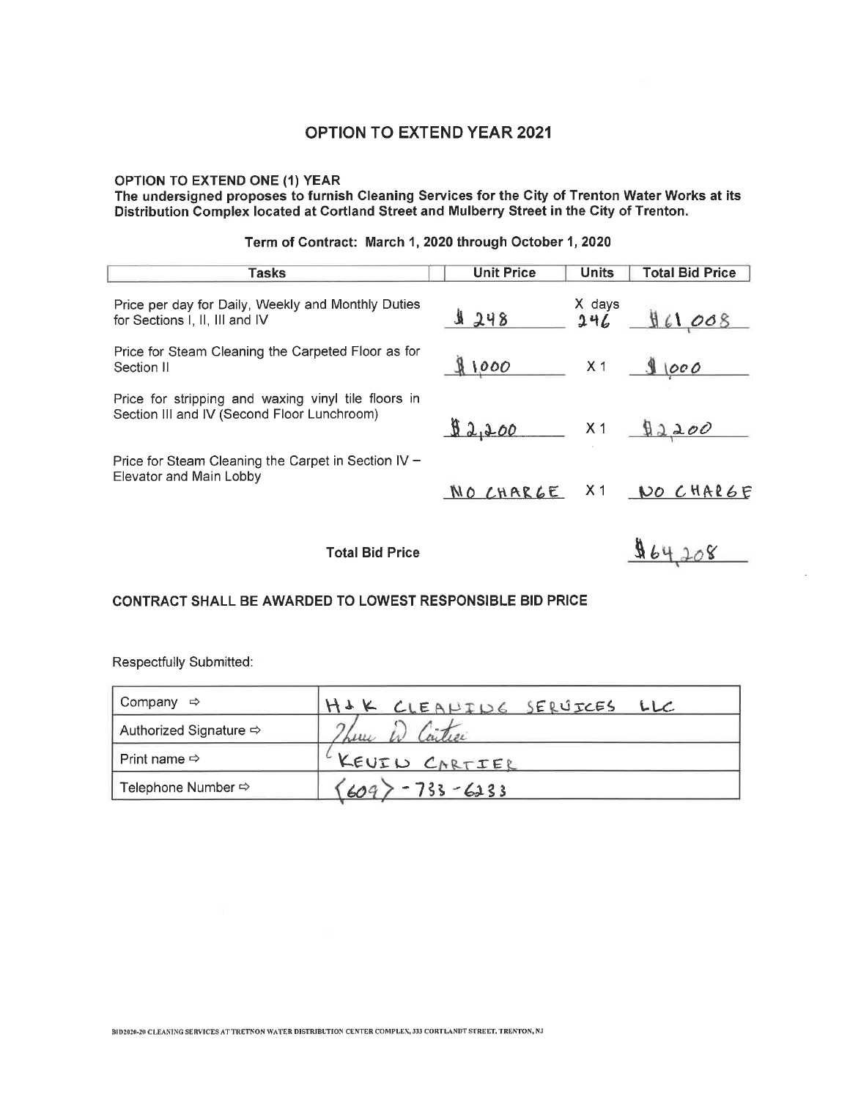OPTION TO EXTEND ONE (1) YEAR<br>The undersigned proposes to furnish Cleaning Services for the City of Trenton Water Works at its<br>Distribution Complex located at Cortland Street and Mulberry Street in the City of Trenton.

| Tasks                                                                                              | <b>Unit Price</b>    | <b>Units</b>   | <b>Total Bid Price</b> |
|----------------------------------------------------------------------------------------------------|----------------------|----------------|------------------------|
| Price per day for Daily, Weekly and Monthly Duties<br>for Sections I, II, III and IV               | 1248                 | X days<br>246  | 961008                 |
| Price for Steam Cleaning the Carpeted Floor as for<br>Section II                                   | 81000                | X <sub>1</sub> | 91000                  |
| Price for stripping and waxing vinyl tile floors in<br>Section III and IV (Second Floor Lunchroom) | $92,200$ x1 $92,200$ |                |                        |
| Price for Steam Cleaning the Carpet in Section IV -<br>Elevator and Main Lobby                     | NO CHARGE X1         |                | NO CHARGE              |
| Total Bid Price                                                                                    |                      |                |                        |

#### Term of Contract: March 1, 2020 through October 1, 2020

CONTRACT SHALL BE AWARDED TO LOWEST RESPONSIBLE BID PRICE

| Company $\Rightarrow$              | H&K CLEANING SERUICES LLC |
|------------------------------------|---------------------------|
| Authorized Signature ⇒             | $\rightarrow$             |
| Print name $\Rightarrow$           | KEUIL CARTIER             |
| Telephone Number $\Leftrightarrow$ | $-733 - 6233$<br>609.     |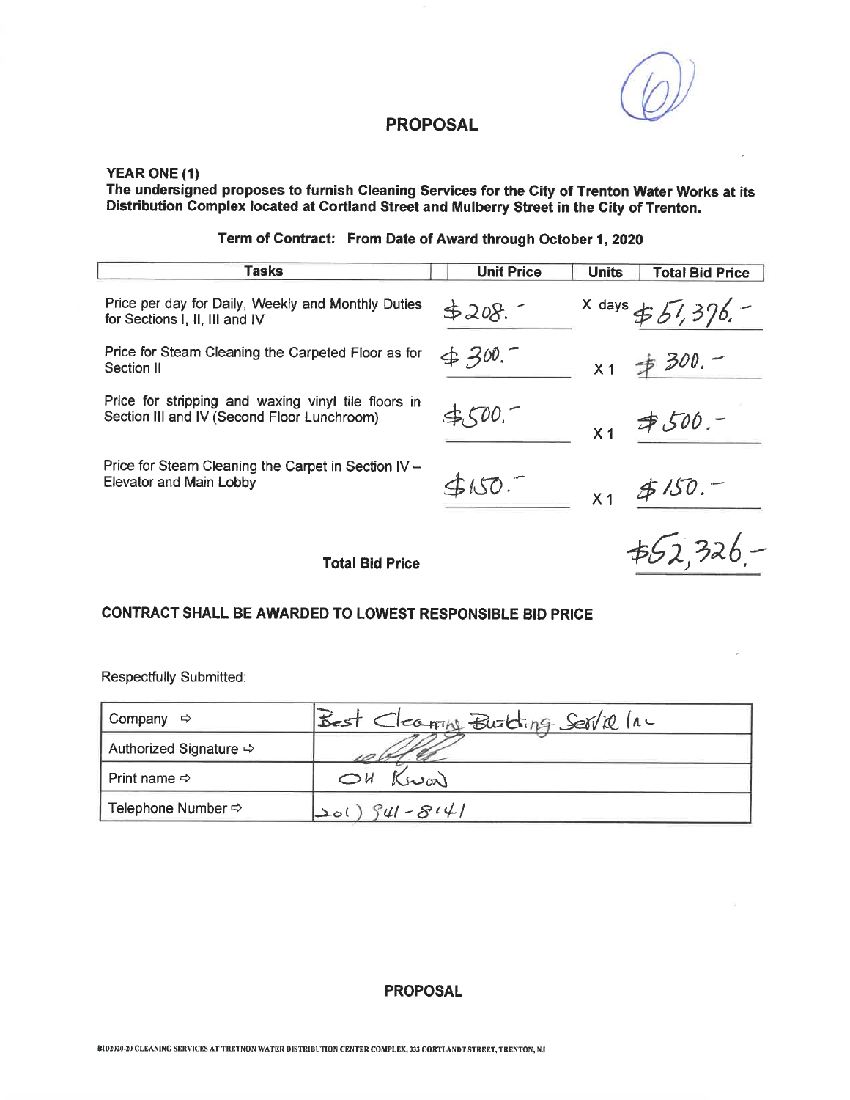#### **YEAR ONE (1)**

The undersigned proposes to furnish Cleaning Services for the City of Trenton Water Works at its<br>Distribution Complex located at Cortland Street and Mulberry Street in the City of Trenton.

Term of Contract: From Date of Award through October 1, 2020

| Tasks                                                                                              | <b>Unit Price</b> | <b>Units</b>   | <b>Total Bid Price</b> |
|----------------------------------------------------------------------------------------------------|-------------------|----------------|------------------------|
| Price per day for Daily, Weekly and Monthly Duties<br>for Sections I, II, III and IV               | 5208.             |                | $x$ days $\pm 57.376.$ |
| Price for Steam Cleaning the Carpeted Floor as for<br>Section II                                   | 4,300.7           | X <sub>1</sub> | $\neq$ 300. –          |
| Price for stripping and waxing vinyl tile floors in<br>Section III and IV (Second Floor Lunchroom) |                   | X <sub>1</sub> | $7500 -$               |
| Price for Steam Cleaning the Carpet in Section IV –<br>Elevator and Main Lobby                     | 3150.7            |                | $x_1$ \$150.           |
| <b>Total Bid Price</b>                                                                             |                   |                | $+62,326-$             |

#### CONTRACT SHALL BE AWARDED TO LOWEST RESPONSIBLE BID PRICE

Respectfully Submitted:

| Company<br>⇨                       | Best Cleaning Building Service Inc |
|------------------------------------|------------------------------------|
| Authorized Signature $\Rightarrow$ |                                    |
| Print name $\Leftrightarrow$       | Kwar                               |
| Telephone Number $\Rightarrow$     | $50()$ $941 - 8141$                |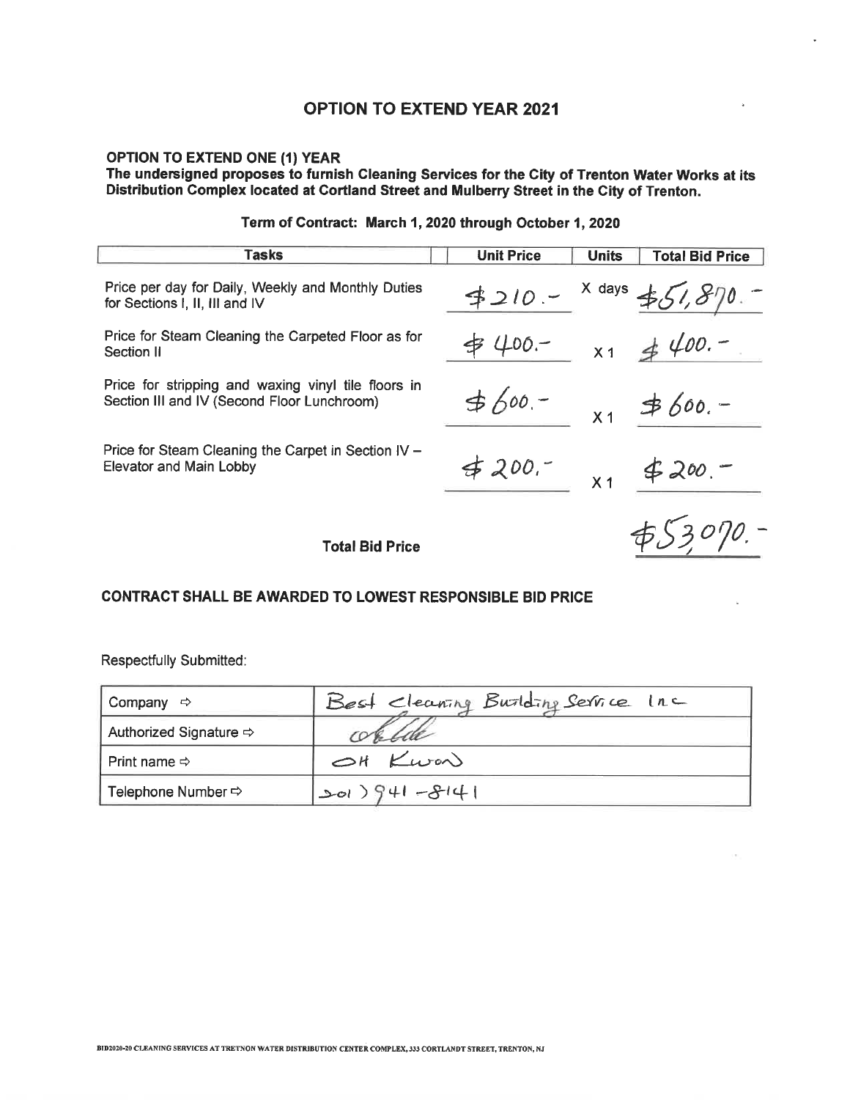# OPTION TO EXTEND ONE (1) YEAR<br>The undersigned proposes to furnish Cleaning Services for the City of Trenton Water Works at its Distribution Complex located at Cortland Street and Mulberry Street in the City of Trenton.

| Tasks                                                                                              | <b>Unit Price</b> | <b>Units</b>   | <b>Total Bid Price</b> |
|----------------------------------------------------------------------------------------------------|-------------------|----------------|------------------------|
| Price per day for Daily, Weekly and Monthly Duties<br>for Sections I, II, III and IV               | $4210 -$          |                | $x$ days $\pm 51.81$   |
| Price for Steam Cleaning the Carpeted Floor as for<br>Section II                                   | \$ 400.-          |                | $x_1 \neq 400.$        |
| Price for stripping and waxing vinyl tile floors in<br>Section III and IV (Second Floor Lunchroom) | $560 -$           |                | $x_1$ \$600.-          |
| Price for Steam Cleaning the Carpet in Section IV –<br><b>Elevator and Main Lobby</b>              | 4200.7            | X <sub>1</sub> | $4200 -$               |
| <b>Total Bid Price</b>                                                                             |                   |                | \$53070.               |

#### Term of Contract: March 1, 2020 through October 1, 2020

### **CONTRACT SHALL BE AWARDED TO LOWEST RESPONSIBLE BID PRICE**

| Company<br>– ⇔                     | Best Cleaning Buriding Service Inc |
|------------------------------------|------------------------------------|
| Authorized Signature $\Rightarrow$ | ortile                             |
|                                    | OH Kwar                            |
| Telephone Number $\Rightarrow$     | $1+8-1+9$ (102)                    |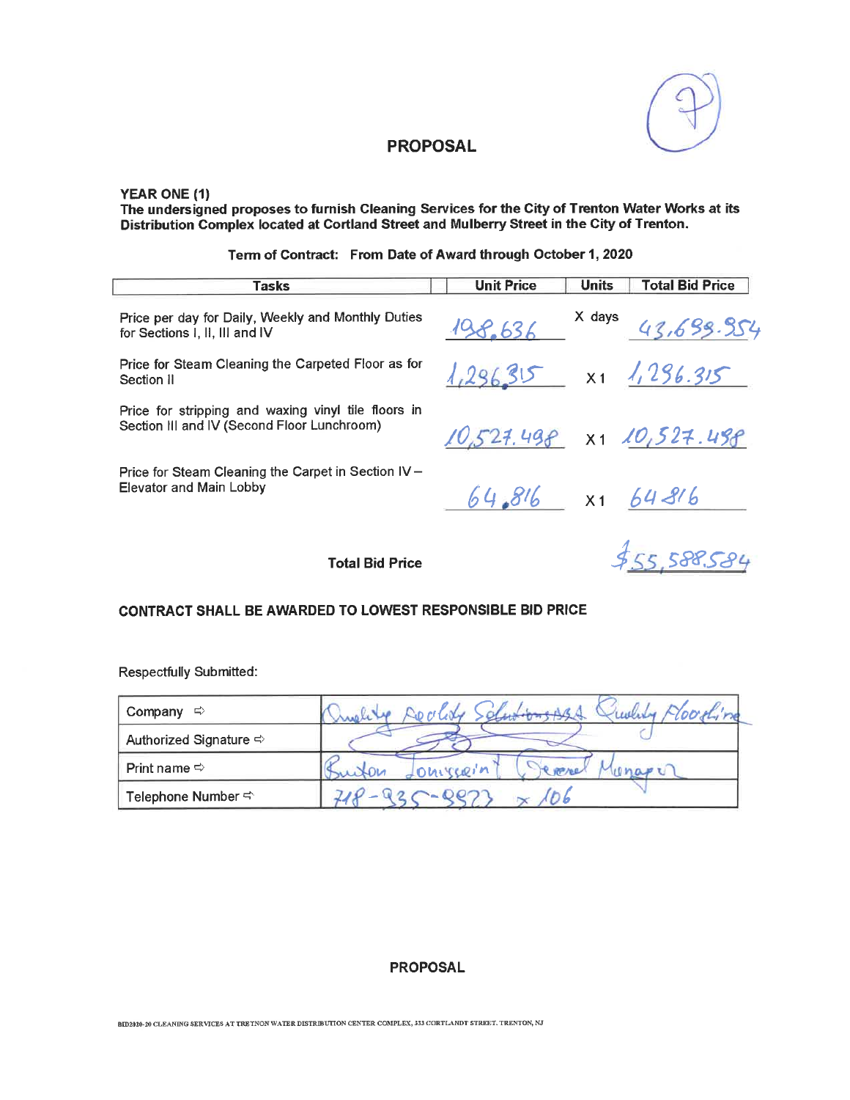

#### YEAR ONE (1)

The undersigned proposes to furnish Cleaning Services for the City of Trenton Water Works at its<br>Distribution Complex located at Cortland Street and Mulberry Street in the City of Trenton.

| <b>Tasks</b>                                                                                       | <b>Unit Price</b>    | <b>Units</b> | <b>Total Bid Price</b>                                                                              |
|----------------------------------------------------------------------------------------------------|----------------------|--------------|-----------------------------------------------------------------------------------------------------|
| Price per day for Daily, Weekly and Monthly Duties<br>for Sections I, II, III and IV               | 198.636              |              | $x$ days $43.699.954$                                                                               |
| Price for Steam Cleaning the Carpeted Floor as for<br>Section II                                   |                      |              | $1,296.315$ x1 $1,296.315$                                                                          |
| Price for stripping and waxing vinyl tile floors in<br>Section III and IV (Second Floor Lunchroom) |                      |              | 10,527.498 x1 10,527.498                                                                            |
| Price for Steam Cleaning the Carpet in Section IV -<br>Elevator and Main Lobby                     | $64.816$ x1 $64.816$ |              |                                                                                                     |
|                                                                                                    |                      |              | $\mathcal{L} = \mathcal{L} \mathcal{L} \mathcal{L} \mathcal{L} \mathcal{L} \mathcal{L} \mathcal{L}$ |

**Total Bid Price** 

\$55,588.584

#### CONTRACT SHALL BE AWARDED TO LOWEST RESPONSIBLE BID PRICE

Respectfully Submitted:

| Company<br>⇨                           | oorting<br>wer           |
|----------------------------------------|--------------------------|
| Authorized Signature $\Leftrightarrow$ |                          |
| Print name $\Rightarrow$               | $\Omega$<br><b>WP/CC</b> |
| Telephone Number <>                    |                          |